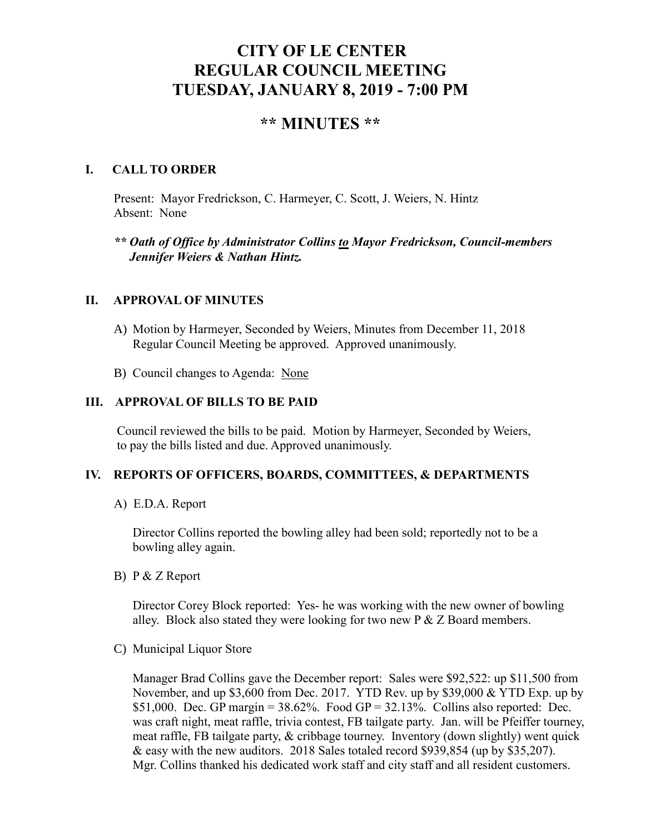# **CITY OF LE CENTER REGULAR COUNCIL MEETING TUESDAY, JANUARY 8, 2019 - 7:00 PM**

# **\*\* MINUTES \*\***

#### **I. CALL TO ORDER**

Present: Mayor Fredrickson, C. Harmeyer, C. Scott, J. Weiers, N. Hintz Absent: None

 *\*\* Oath of Office by Administrator Collins to Mayor Fredrickson, Council-members Jennifer Weiers & Nathan Hintz.*

#### **II. APPROVAL OF MINUTES**

- A) Motion by Harmeyer, Seconded by Weiers, Minutes from December 11, 2018 Regular Council Meeting be approved. Approved unanimously.
- B) Council changes to Agenda: None

## **III. APPROVAL OF BILLS TO BE PAID**

Council reviewed the bills to be paid. Motion by Harmeyer, Seconded by Weiers, to pay the bills listed and due. Approved unanimously.

#### **IV. REPORTS OF OFFICERS, BOARDS, COMMITTEES, & DEPARTMENTS**

A) E.D.A. Report

 Director Collins reported the bowling alley had been sold; reportedly not to be a bowling alley again.

B) P & Z Report

Director Corey Block reported: Yes- he was working with the new owner of bowling alley. Block also stated they were looking for two new  $P \& Z$  Board members.

C) Municipal Liquor Store

Manager Brad Collins gave the December report: Sales were \$92,522: up \$11,500 from November, and up \$3,600 from Dec. 2017. YTD Rev. up by \$39,000 & YTD Exp. up by \$51,000. Dec. GP margin =  $38.62\%$ . Food GP =  $32.13\%$ . Collins also reported: Dec. was craft night, meat raffle, trivia contest, FB tailgate party. Jan. will be Pfeiffer tourney, meat raffle, FB tailgate party, & cribbage tourney. Inventory (down slightly) went quick & easy with the new auditors. 2018 Sales totaled record \$939,854 (up by \$35,207). Mgr. Collins thanked his dedicated work staff and city staff and all resident customers.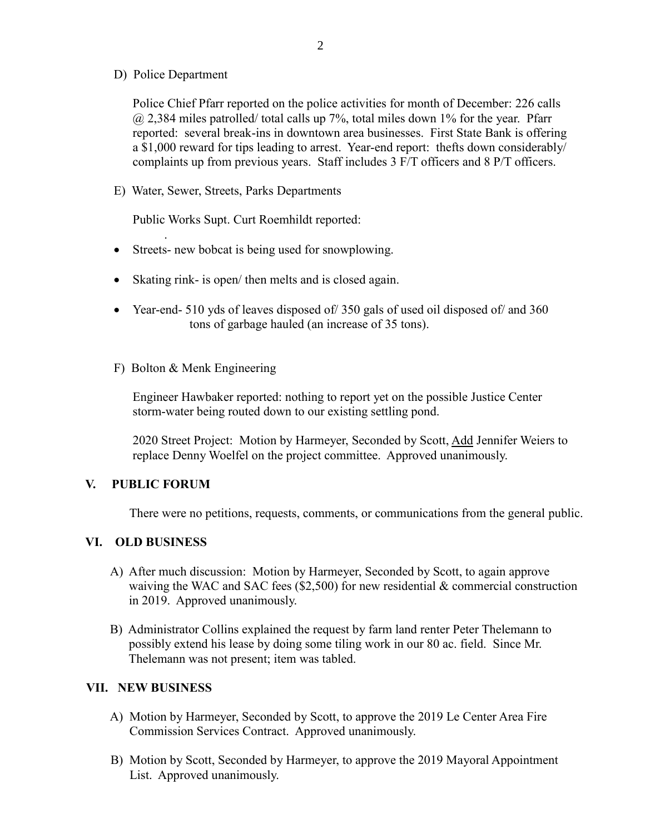D) Police Department

Police Chief Pfarr reported on the police activities for month of December: 226 calls @ 2,384 miles patrolled/ total calls up 7%, total miles down 1% for the year. Pfarr reported: several break-ins in downtown area businesses. First State Bank is offering a \$1,000 reward for tips leading to arrest. Year-end report: thefts down considerably/ complaints up from previous years. Staff includes 3 F/T officers and 8 P/T officers.

E) Water, Sewer, Streets, Parks Departments

Public Works Supt. Curt Roemhildt reported:

- Streets- new bobcat is being used for snowplowing.
- Skating rink- is open/ then melts and is closed again.
- Year-end- 510 yds of leaves disposed of 350 gals of used oil disposed of and 360 tons of garbage hauled (an increase of 35 tons).
- F) Bolton & Menk Engineering

 Engineer Hawbaker reported: nothing to report yet on the possible Justice Center storm-water being routed down to our existing settling pond.

 2020 Street Project: Motion by Harmeyer, Seconded by Scott, Add Jennifer Weiers to replace Denny Woelfel on the project committee. Approved unanimously.

#### **V. PUBLIC FORUM**

.

There were no petitions, requests, comments, or communications from the general public.

#### **VI. OLD BUSINESS**

- A) After much discussion: Motion by Harmeyer, Seconded by Scott, to again approve waiving the WAC and SAC fees (\$2,500) for new residential & commercial construction in 2019. Approved unanimously.
- B) Administrator Collins explained the request by farm land renter Peter Thelemann to possibly extend his lease by doing some tiling work in our 80 ac. field. Since Mr. Thelemann was not present; item was tabled.

#### **VII. NEW BUSINESS**

- A) Motion by Harmeyer, Seconded by Scott, to approve the 2019 Le Center Area Fire Commission Services Contract. Approved unanimously.
- B) Motion by Scott, Seconded by Harmeyer, to approve the 2019 Mayoral Appointment List. Approved unanimously.